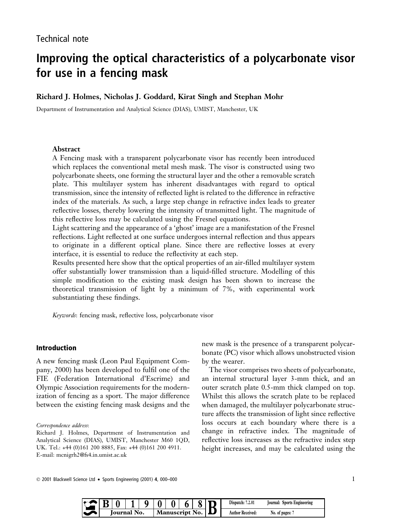# Improving the optical characteristics of a polycarbonate visor for use in a fencing mask

# Richard J. Holmes, Nicholas J. Goddard, Kirat Singh and Stephan Mohr

Department of Instrumentation and Analytical Science (DIAS), UMIST, Manchester, UK

### Abstract

A Fencing mask with a transparent polycarbonate visor has recently been introduced which replaces the conventional metal mesh mask. The visor is constructed using two polycarbonate sheets, one forming the structural layer and the other a removable scratch plate. This multilayer system has inherent disadvantages with regard to optical transmission, since the intensity of reflected light is related to the difference in refractive index of the materials. As such, a large step change in refractive index leads to greater reflective losses, thereby lowering the intensity of transmitted light. The magnitude of this reflective loss may be calculated using the Fresnel equations.

Light scattering and the appearance of a 'ghost' image are a manifestation of the Fresnel reflections. Light reflected at one surface undergoes internal reflection and thus appears to originate in a different optical plane. Since there are reflective losses at every interface, it is essential to reduce the reflectivity at each step.

Results presented here show that the optical properties of an air-filled multilayer system offer substantially lower transmission than a liquid-filled structure. Modelling of this simple modification to the existing mask design has been shown to increase the theoretical transmission of light by a minimum of 7%, with experimental work substantiating these findings.

Keywords: fencing mask, reflective loss, polycarbonate visor

# Introduction

A new fencing mask (Leon Paul Equipment Company, 2000) has been developed to fulfil one of the FIE (Federation International d'Escrime) and Olympic Association requirements for the modernization of fencing as a sport. The major difference between the existing fencing mask designs and the

#### Correspondence address:

new mask is the presence of a transparent polycarbonate (PC) visor which allows unobstructed vision by the wearer.

The visor comprises two sheets of polycarbonate, an internal structural layer 3-mm thick, and an outer scratch plate 0.5-mm thick clamped on top. Whilst this allows the scratch plate to be replaced when damaged, the multilayer polycarbonate structure affects the transmission of light since reflective loss occurs at each boundary where there is a change in refractive index. The magnitude of reflective loss increases as the refractive index step height increases, and may be calculated using the

Ó 2001 Blackwell Science Ltd · Sports Engineering (2001) 4, 000±000 1

|                |  |  |  |                                             | $\pmb{0}$ | U | ື | Dispatch:<br>7.2.01 | Sports Engineering<br>lournal: |
|----------------|--|--|--|---------------------------------------------|-----------|---|---|---------------------|--------------------------------|
| No.<br>lournal |  |  |  | No.<br>$\blacksquare$ script $\blacksquare$ |           |   |   | Received:<br>Author | No. of pages:                  |

Richard J. Holmes, Department of Instrumentation and Analytical Science (DIAS), UMIST, Manchester M60 1QD, UK. Tel.: +44 (0)161 200 8885, Fax: +44 (0)161 200 4911. E-mail: mcnigrh2@fs4.in.umist.ac.uk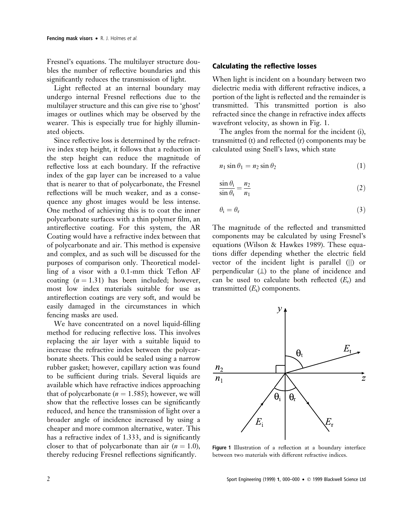Fresnel's equations. The multilayer structure doubles the number of reflective boundaries and this significantly reduces the transmission of light.

Light reflected at an internal boundary may undergo internal Fresnel reflections due to the multilayer structure and this can give rise to 'ghost' images or outlines which may be observed by the wearer. This is especially true for highly illuminated objects.

Since reflective loss is determined by the refractive index step height, it follows that a reduction in the step height can reduce the magnitude of reflective loss at each boundary. If the refractive index of the gap layer can be increased to a value that is nearer to that of polycarbonate, the Fresnel reflections will be much weaker, and as a consequence any ghost images would be less intense. One method of achieving this is to coat the inner polycarbonate surfaces with a thin polymer film, an antireflective coating. For this system, the AR Coating would have a refractive index between that of polycarbonate and air. This method is expensive and complex, and as such will be discussed for the purposes of comparison only. Theoretical modelling of a visor with a 0.1-mm thick Teflon AF coating  $(n = 1.31)$  has been included; however, most low index materials suitable for use as antireflection coatings are very soft, and would be easily damaged in the circumstances in which fencing masks are used.

We have concentrated on a novel liquid-filling method for reducing reflective loss. This involves replacing the air layer with a suitable liquid to increase the refractive index between the polycarbonate sheets. This could be sealed using a narrow rubber gasket; however, capillary action was found to be sufficient during trials. Several liquids are available which have refractive indices approaching that of polycarbonate ( $n = 1.585$ ); however, we will show that the reflective losses can be significantly reduced, and hence the transmission of light over a broader angle of incidence increased by using a cheaper and more common alternative, water. This has a refractive index of  $1.333$ , and is significantly closer to that of polycarbonate than air  $(n = 1.0)$ , thereby reducing Fresnel reflections significantly.

## Calculating the reflective losses

When light is incident on a boundary between two dielectric media with different refractive indices, a portion of the light is reflected and the remainder is transmitted. This transmitted portion is also refracted since the change in refractive index affects wavefront velocity, as shown in Fig. 1.

The angles from the normal for the incident (i), transmitted  $(t)$  and reflected  $(r)$  components may be calculated using Snell's laws, which state

$$
n_1 \sin \theta_1 = n_2 \sin \theta_2 \tag{1}
$$

$$
\frac{\sin \theta_{i}}{\sin \theta_{t}} = \frac{n_{2}}{n_{1}}
$$
\n(2)

$$
\theta_{\rm i} = \theta_{\rm r} \tag{3}
$$

The magnitude of the reflected and transmitted components may be calculated by using Fresnel's equations (Wilson & Hawkes 1989). These equations differ depending whether the electric field vector of the incident light is parallel (||) or perpendicular  $(\perp)$  to the plane of incidence and can be used to calculate both reflected  $(E_r)$  and transmitted  $(E_t)$  components.



Figure 1 Illustration of a reflection at a boundary interface between two materials with different refractive indices.

2 Sport Engineering (1999) 1, 000-000 • © 1999 Blackwell Science Ltd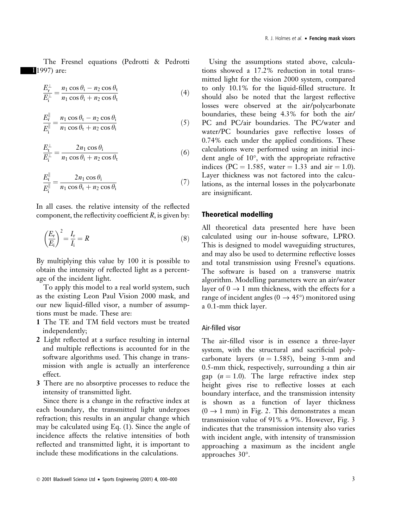The Fresnel equations (Pedrotti & Pedrotti 11997) are:

$$
\frac{E_{\rm r}^{\perp}}{E_{\rm i}^{\perp}} = \frac{n_1 \cos \theta_{\rm i} - n_2 \cos \theta_{\rm t}}{n_1 \cos \theta_{\rm i} + n_2 \cos \theta_{\rm t}}\tag{4}
$$

$$
\frac{E_{\rm r}^{\parallel}}{E_{\rm i}^{\parallel}} = \frac{n_1 \cos \theta_{\rm t} - n_2 \cos \theta_{\rm i}}{n_1 \cos \theta_{\rm t} + n_2 \cos \theta_{\rm i}} \tag{5}
$$

$$
\frac{E_{\rm t}^{\perp}}{E_{\rm i}^{\perp}} = \frac{2n_1 \cos \theta_{\rm i}}{n_1 \cos \theta_{\rm i} + n_2 \cos \theta_{\rm t}}\tag{6}
$$

$$
\frac{E_{\rm t}^{\parallel}}{E_{\rm i}^{\parallel}} = \frac{2n_1 \cos \theta_{\rm i}}{n_1 \cos \theta_{\rm t} + n_2 \cos \theta_{\rm i}}\tag{7}
$$

In all cases, the relative intensity of the reflected component, the reflectivity coefficient  $R$ , is given by:

$$
\left(\frac{E_r}{E_i}\right)^2 = \frac{I_r}{I_i} = R\tag{8}
$$

By multiplying this value by 100 it is possible to obtain the intensity of reflected light as a percentage of the incident light.

To apply this model to a real world system, such as the existing Leon Paul Vision 2000 mask, and our new liquid-filled visor, a number of assumptions must be made. These are:

- 1 The TE and TM field vectors must be treated independently;
- 2 Light reflected at a surface resulting in internal and multiple reflections is accounted for in the software algorithms used. This change in transmission with angle is actually an interference effect.
- 3 There are no absorptive processes to reduce the intensity of transmitted light.

Since there is a change in the refractive index at each boundary, the transmitted light undergoes refraction; this results in an angular change which may be calculated using Eq. (1). Since the angle of incidence affects the relative intensities of both reflected and transmitted light, it is important to include these modifications in the calculations.

Using the assumptions stated above, calculations showed a 17.2% reduction in total transmitted light for the vision 2000 system, compared to only 10.1% for the liquid-filled structure. It should also be noted that the largest reflective losses were observed at the air/polycarbonate boundaries, these being 4.3% for both the air/ PC and PC/air boundaries. The PC/water and water/PC boundaries gave reflective losses of 0.74% each under the applied conditions. These calculations were performed using an initial incident angle of 10°, with the appropriate refractive indices (PC = 1.585, water = 1.33 and air = 1.0). Layer thickness was not factored into the calculations, as the internal losses in the polycarbonate are insignificant.

# Theoretical modelling

All theoretical data presented here have been calculated using our in-house software, LPRO. This is designed to model waveguiding structures, and may also be used to determine reflective losses and total transmission using Fresnel's equations. The software is based on a transverse matrix algorithm. Modelling parameters were an air/water layer of  $0 \rightarrow 1$  mm thickness, with the effects for a range of incident angles ( $0 \rightarrow 45^{\circ}$ ) monitored using a 0.1-mm thick layer.

## Air-filled visor

The air-filled visor is in essence a three-layer system, with the structural and sacrificial polycarbonate layers ( $n = 1.585$ ), being 3-mm and 0.5-mm thick, respectively, surrounding a thin air gap  $(n = 1.0)$ . The large refractive index step height gives rise to reflective losses at each boundary interface, and the transmission intensity is shown as a function of layer thickness  $(0 \rightarrow 1$  mm) in Fig. 2. This demonstrates a mean transmission value of 91%  $\pm$  9%. However, Fig. 3 indicates that the transmission intensity also varies with incident angle, with intensity of transmission approaching a maximum as the incident angle approaches 30°.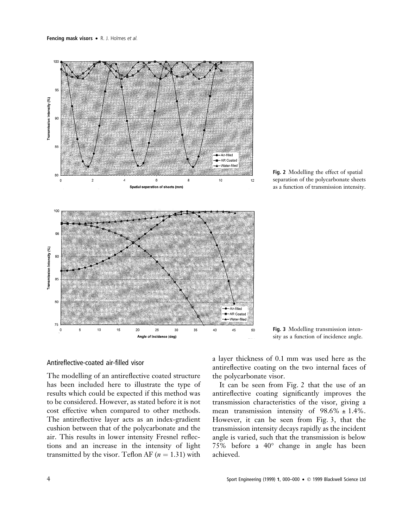

Fig. 2 Modelling the effect of spatial separation of the polycarbonate sheets as a function of transmission intensity.

# Antireflective-coated air-filled visor

The modelling of an antireflective coated structure has been included here to illustrate the type of results which could be expected if this method was to be considered. However, as stated before it is not cost effective when compared to other methods. The antireflective layer acts as an index-gradient cushion between that of the polycarbonate and the air. This results in lower intensity Fresnel reflections and an increase in the intensity of light transmitted by the visor. Teflon AF ( $n = 1.31$ ) with

a layer thickness of 0.1 mm was used here as the antireflective coating on the two internal faces of the polycarbonate visor.

Fig. 3 Modelling transmission intensity as a function of incidence angle.

It can be seen from Fig. 2 that the use of an antireflective coating significantly improves the transmission characteristics of the visor, giving a mean transmission intensity of  $98.6\% \pm 1.4\%$ . However, it can be seen from Fig. 3, that the transmission intensity decays rapidly as the incident angle is varied, such that the transmission is below 75% before a 40° change in angle has been achieved.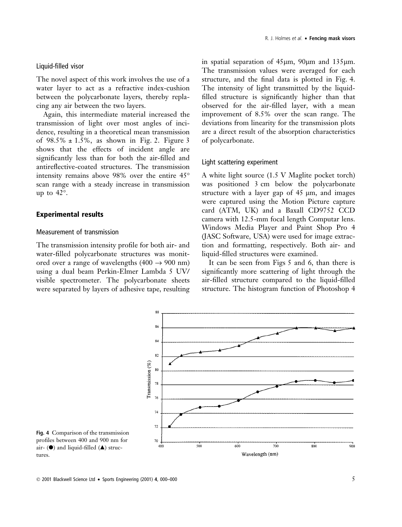#### Liquid-filled visor

The novel aspect of this work involves the use of a water layer to act as a refractive index-cushion between the polycarbonate layers, thereby replacing any air between the two layers.

Again, this intermediate material increased the transmission of light over most angles of incidence, resulting in a theoretical mean transmission of  $98.5\% \pm 1.5\%$ , as shown in Fig. 2. Figure 3 shows that the effects of incident angle are significantly less than for both the air-filled and antireflective-coated structures. The transmission intensity remains above 98% over the entire 45° scan range with a steady increase in transmission up to 42°.

# Experimental results

# Measurement of transmission

The transmission intensity profile for both air- and water-filled polycarbonate structures was monitored over a range of wavelengths (400  $\rightarrow$  900 nm) using a dual beam Perkin-Elmer Lambda 5 UV/ visible spectrometer. The polycarbonate sheets were separated by layers of adhesive tape, resulting in spatial separation of  $45\mu m$ ,  $90\mu m$  and  $135\mu m$ . The transmission values were averaged for each structure, and the final data is plotted in Fig. 4. The intensity of light transmitted by the liquid filled structure is significantly higher than that observed for the air-filled layer, with a mean improvement of 8.5% over the scan range. The deviations from linearity for the transmission plots are a direct result of the absorption characteristics of polycarbonate.

### Light scattering experiment

A white light source (1.5 V Maglite pocket torch) was positioned 3 cm below the polycarbonate structure with a layer gap of  $45 \mu m$ , and images were captured using the Motion Picture capture card (ATM, UK) and a Baxall CD9752 CCD camera with 12.5-mm focal length Computar lens. Windows Media Player and Paint Shop Pro 4 (JASC Software, USA) were used for image extraction and formatting, respectively. Both air- and liquid-filled structures were examined.

It can be seen from Figs 5 and 6, than there is significantly more scattering of light through the air-filled structure compared to the liquid-filled structure. The histogram function of Photoshop 4



Fig. 4 Comparison of the transmission profiles between 400 and 900 nm for air-  $(\bullet)$  and liquid-filled  $(\bullet)$  structures.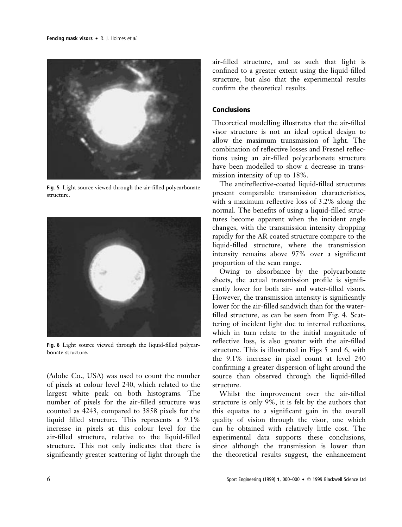

Fig. 5 Light source viewed through the air-filled polycarbonate structure.



Fig. 6 Light source viewed through the liquid-filled polycarbonate structure.

(Adobe Co., USA) was used to count the number of pixels at colour level 240, which related to the largest white peak on both histograms. The number of pixels for the air-filled structure was counted as 4243, compared to 3858 pixels for the liquid filled structure. This represents a 9.1% increase in pixels at this colour level for the air-filled structure, relative to the liquid-filled structure. This not only indicates that there is significantly greater scattering of light through the air-filled structure, and as such that light is confined to a greater extent using the liquid-filled structure, but also that the experimental results confirm the theoretical results.

# **Conclusions**

Theoretical modelling illustrates that the air-filled visor structure is not an ideal optical design to allow the maximum transmission of light. The combination of reflective losses and Fresnel reflections using an air-filled polycarbonate structure have been modelled to show a decrease in transmission intensity of up to 18%.

The antireflective-coated liquid-filled structures present comparable transmission characteristics, with a maximum reflective loss of  $3.2\%$  along the normal. The benefits of using a liquid-filled structures become apparent when the incident angle changes, with the transmission intensity dropping rapidly for the AR coated structure compare to the liquid-filled structure, where the transmission intensity remains above 97% over a significant proportion of the scan range.

Owing to absorbance by the polycarbonate sheets, the actual transmission profile is significantly lower for both air- and water-filled visors. However, the transmission intensity is significantly lower for the air-filled sandwich than for the waterfilled structure, as can be seen from Fig. 4. Scattering of incident light due to internal reflections, which in turn relate to the initial magnitude of reflective loss, is also greater with the air-filled structure. This is illustrated in Figs 5 and 6, with the 9.1% increase in pixel count at level 240 confirming a greater dispersion of light around the source than observed through the liquid-filled structure.

Whilst the improvement over the air-filled structure is only 9%, it is felt by the authors that this equates to a significant gain in the overall quality of vision through the visor, one which can be obtained with relatively little cost. The experimental data supports these conclusions, since although the transmission is lower than the theoretical results suggest, the enhancement